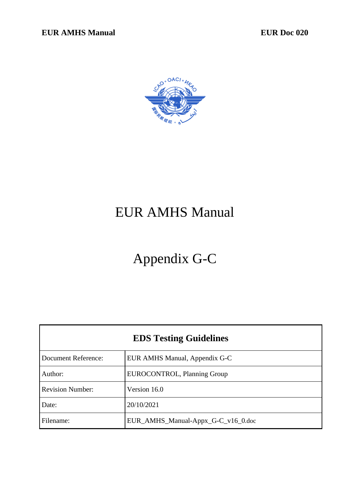

# EUR AMHS Manual

# Appendix G-C

| <b>EDS Testing Guidelines</b> |                                    |  |
|-------------------------------|------------------------------------|--|
| <b>Document Reference:</b>    | EUR AMHS Manual, Appendix G-C      |  |
| Author:                       | EUROCONTROL, Planning Group        |  |
| <b>Revision Number:</b>       | Version 16.0                       |  |
| Date:                         | 20/10/2021                         |  |
| Filename:                     | EUR_AMHS_Manual-Appx_G-C_v16_0.doc |  |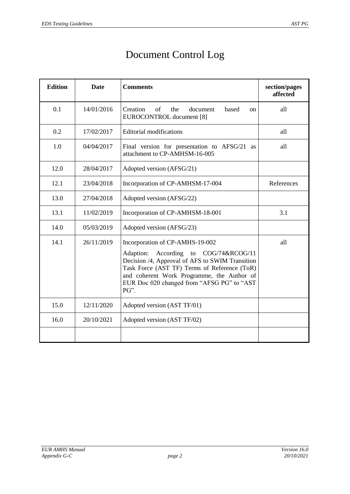## Document Control Log

| <b>Edition</b> | <b>Date</b> | <b>Comments</b>                                                                                                                                                                                                                                                                       | section/pages<br>affected |
|----------------|-------------|---------------------------------------------------------------------------------------------------------------------------------------------------------------------------------------------------------------------------------------------------------------------------------------|---------------------------|
| 0.1            | 14/01/2016  | Creation<br>of<br>the<br>document<br>based<br><sub>on</sub><br>EUROCONTROL document [8]                                                                                                                                                                                               | all                       |
| 0.2            | 17/02/2017  | <b>Editorial modifications</b>                                                                                                                                                                                                                                                        | all                       |
| 1.0            | 04/04/2017  | Final version for presentation to AFSG/21 as<br>attachment to CP-AMHSM-16-005                                                                                                                                                                                                         | all                       |
| 12.0           | 28/04/2017  | Adopted version (AFSG/21)                                                                                                                                                                                                                                                             |                           |
| 12.1           | 23/04/2018  | Incorporation of CP-AMHSM-17-004                                                                                                                                                                                                                                                      | References                |
| 13.0           | 27/04/2018  | Adopted version (AFSG/22)                                                                                                                                                                                                                                                             |                           |
| 13.1           | 11/02/2019  | Incorporation of CP-AMHSM-18-001                                                                                                                                                                                                                                                      | 3.1                       |
| 14.0           | 05/03/2019  | Adopted version (AFSG/23)                                                                                                                                                                                                                                                             |                           |
| 14.1           | 26/11/2019  | Incorporation of CP-AMHS-19-002<br>According<br>to COG/74&RCOG/11<br>Adaption:<br>Decision /4, Approval of AFS to SWIM Transition<br>Task Force (AST TF) Terms of Reference (ToR)<br>and coherent Work Programme, the Author of<br>EUR Doc 020 changed from "AFSG PG" to "AST<br>PG". | all                       |
| 15.0           | 12/11/2020  | Adopted version (AST TF/01)                                                                                                                                                                                                                                                           |                           |
| 16.0           | 20/10/2021  | Adopted version (AST TF/02)                                                                                                                                                                                                                                                           |                           |
|                |             |                                                                                                                                                                                                                                                                                       |                           |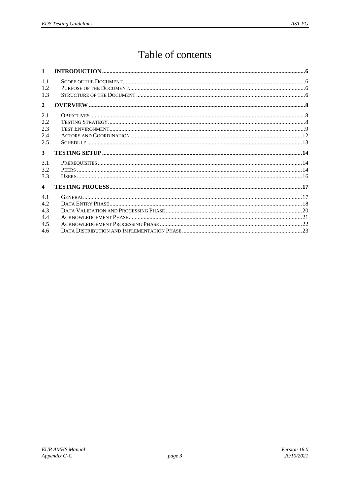## Table of contents

| $\mathbf{1}$                    |  |
|---------------------------------|--|
| 1.1<br>1.2<br>1.3               |  |
| $\mathbf{2}$                    |  |
| 2.1<br>2.2<br>2.3<br>2.4<br>2.5 |  |
| 3                               |  |
| 3.1<br>3.2<br>3.3               |  |
| $\boldsymbol{4}$                |  |
| 41<br>4.2<br>4.3                |  |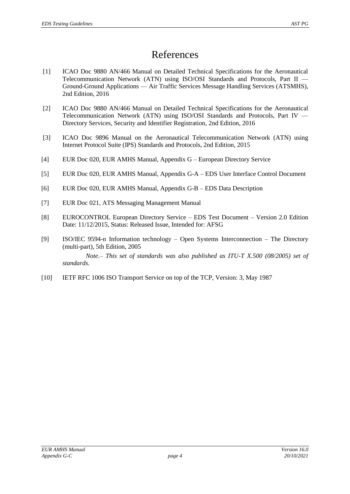## References

- <span id="page-3-6"></span>[1] ICAO Doc 9880 AN/466 Manual on Detailed Technical Specifications for the Aeronautical Telecommunication Network (ATN) using ISO/OSI Standards and Protocols, Part II — Ground-Ground Applications — Air Traffic Services Message Handling Services (ATSMHS), 2nd Edition, 2016
- <span id="page-3-2"></span>[2] ICAO Doc 9880 AN/466 Manual on Detailed Technical Specifications for the Aeronautical Telecommunication Network (ATN) using ISO/OSI Standards and Protocols, Part IV — Directory Services, Security and Identifier Registration, 2nd Edition, 2016
- [3] ICAO Doc 9896 Manual on the Aeronautical Telecommunication Network (ATN) using Internet Protocol Suite (IPS) Standards and Protocols, 2nd Edition, 2015
- <span id="page-3-3"></span>[4] EUR Doc 020, EUR AMHS Manual, Appendix G – European Directory Service
- <span id="page-3-1"></span>[5] EUR Doc 020, EUR AMHS Manual, Appendix G-A – EDS User Interface Control Document
- [6] EUR Doc 020, EUR AMHS Manual, Appendix G-B EDS Data Description
- <span id="page-3-5"></span>[7] EUR Doc 021, ATS Messaging Management Manual
- <span id="page-3-0"></span>[8] EUROCONTROL European Directory Service – EDS Test Document – Version 2.0 Edition Date: 11/12/2015, Status: Released Issue, Intended for: AFSG
- <span id="page-3-4"></span>[9] ISO/IEC 9594-n Information technology – Open Systems Interconnection – The Directory (multi-part), 5th Edition, 2005

*Note.– This set of standards was also published as ITU-T X.500 (08/2005) set of standards.*

<span id="page-3-7"></span>[10] IETF RFC 1006 ISO Transport Service on top of the TCP, Version: 3, May 1987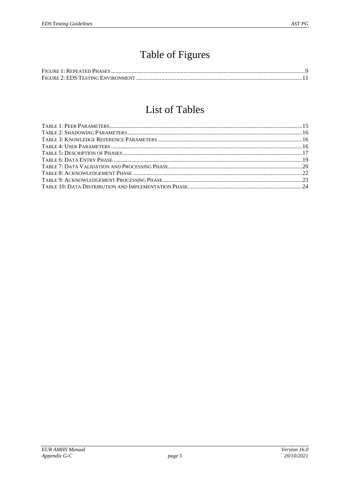## Table of Figures

## List of Tables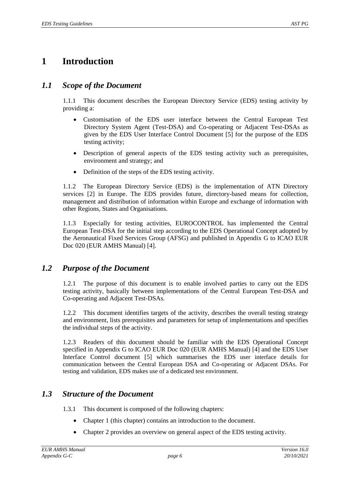## <span id="page-5-0"></span>**1 Introduction**

### *1.1 Scope of the Document*

1.1.1 This document describes the European Directory Service (EDS) testing activity by providing a:

- Customisation of the EDS user interface between the Central European Test Directory System Agent (Test-DSA) and Co-operating or Adjacent Test-DSAs as given by the EDS User Interface Control Document [\[5\]](#page-3-1) for the purpose of the EDS testing activity;
- Description of general aspects of the EDS testing activity such as prerequisites, environment and strategy; and
- Definition of the steps of the EDS testing activity.

1.1.2 The European Directory Service (EDS) is the implementation of ATN Directory services [\[2\]](#page-3-2) in Europe. The EDS provides future, directory-based means for collection, management and distribution of information within Europe and exchange of information with other Regions, States and Organisations.

1.1.3 Especially for testing activities, EUROCONTROL has implemented the Central European Test-DSA for the initial step according to the EDS Operational Concept adopted by the Aeronautical Fixed Services Group (AFSG) and published in Appendix G to ICAO EUR Doc 020 (EUR AMHS Manual) [\[4\]](#page-3-3).

### *1.2 Purpose of the Document*

1.2.1 The purpose of this document is to enable involved parties to carry out the EDS testing activity, basically between implementations of the Central European Test-DSA and Co-operating and Adjacent Test-DSAs.

1.2.2 This document identifies targets of the activity, describes the overall testing strategy and environment, lists prerequisites and parameters for setup of implementations and specifies the individual steps of the activity.

1.2.3 Readers of this document should be familiar with the EDS Operational Concept specified in Appendix G to ICAO EUR Doc 020 (EUR AMHS Manual) [\[4\]](#page-3-3) and the EDS User Interface Control document [\[5\]](#page-3-1) which summarises the EDS user interface details for communication between the Central European DSA and Co-operating or Adjacent DSAs. For testing and validation, EDS makes use of a dedicated test environment.

## *1.3 Structure of the Document*

- 1.3.1 This document is composed of the following chapters:
	- Chapter [1](#page-5-0) (this chapter) contains an introduction to the document.
	- Chapter [2](#page-7-0) provides an overview on general aspect of the EDS testing activity.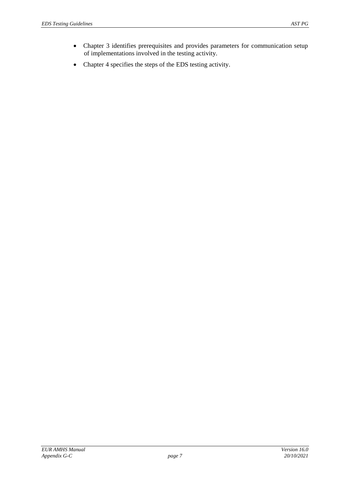- Chapter [3](#page-13-0) identifies prerequisites and provides parameters for communication setup of implementations involved in the testing activity.
- Chapter [4](#page-16-1) specifies the steps of the EDS testing activity.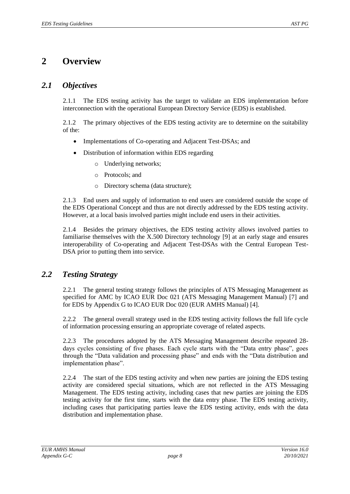## <span id="page-7-0"></span>**2 Overview**

### *2.1 Objectives*

2.1.1 The EDS testing activity has the target to validate an EDS implementation before interconnection with the operational European Directory Service (EDS) is established.

2.1.2 The primary objectives of the EDS testing activity are to determine on the suitability of the:

- Implementations of Co-operating and Adjacent Test-DSAs; and
- Distribution of information within EDS regarding
	- o Underlying networks;
	- o Protocols; and
	- o Directory schema (data structure);

2.1.3 End users and supply of information to end users are considered outside the scope of the EDS Operational Concept and thus are not directly addressed by the EDS testing activity. However, at a local basis involved parties might include end users in their activities.

2.1.4 Besides the primary objectives, the EDS testing activity allows involved parties to familiarise themselves with the X.500 Directory technology [\[9\]](#page-3-4) at an early stage and ensures interoperability of Co-operating and Adjacent Test-DSAs with the Central European Test-DSA prior to putting them into service.

## *2.2 Testing Strategy*

2.2.1 The general testing strategy follows the principles of ATS Messaging Management as specified for AMC by ICAO EUR Doc 021 (ATS Messaging Management Manual) [\[7\]](#page-3-5) and for EDS by Appendix G to ICAO EUR Doc 020 (EUR AMHS Manual) [\[4\]](#page-3-3).

2.2.2 The general overall strategy used in the EDS testing activity follows the full life cycle of information processing ensuring an appropriate coverage of related aspects.

2.2.3 The procedures adopted by the ATS Messaging Management describe repeated 28 days cycles consisting of five phases. Each cycle starts with the "Data entry phase", goes through the "Data validation and processing phase" and ends with the "Data distribution and implementation phase".

2.2.4 The start of the EDS testing activity and when new parties are joining the EDS testing activity are considered special situations, which are not reflected in the ATS Messaging Management. The EDS testing activity, including cases that new parties are joining the EDS testing activity for the first time, starts with the data entry phase. The EDS testing activity, including cases that participating parties leave the EDS testing activity, ends with the data distribution and implementation phase.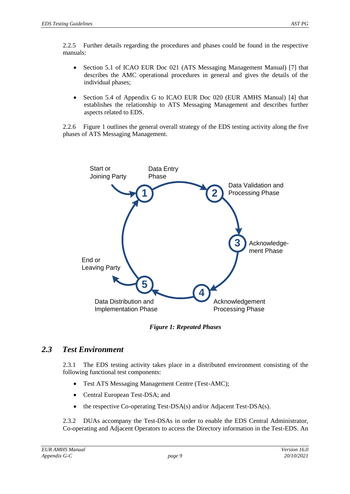2.2.5 Further details regarding the procedures and phases could be found in the respective manuals:

- Section 5.1 of ICAO EUR Doc 021 (ATS Messaging Management Manual) [\[7\]](#page-3-5) that describes the AMC operational procedures in general and gives the details of the individual phases;
- Section 5.4 of Appendix G to ICAO EUR Doc 020 (EUR AMHS Manual) [\[4\]](#page-3-3) that establishes the relationship to ATS Messaging Management and describes further aspects related to EDS.

2.2.6 [Figure 1](#page-8-0) outlines the general overall strategy of the EDS testing activity along the five phases of ATS Messaging Management.



*Figure 1: Repeated Phases*

## <span id="page-8-0"></span>*2.3 Test Environment*

2.3.1 The EDS testing activity takes place in a distributed environment consisting of the following functional test components:

- Test ATS Messaging Management Centre (Test-AMC);
- Central European Test-DSA; and
- the respective Co-operating Test-DSA(s) and/or Adjacent Test-DSA(s).

2.3.2 DUAs accompany the Test-DSAs in order to enable the EDS Central Administrator, Co-operating and Adjacent Operators to access the Directory information in the Test-EDS. An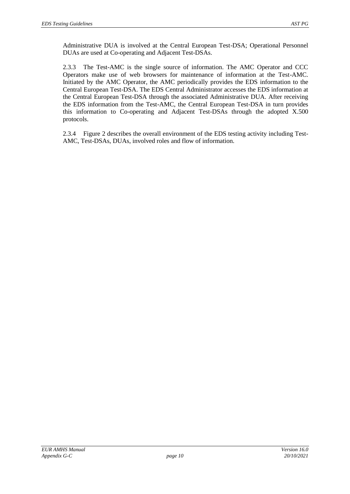Administrative DUA is involved at the Central European Test-DSA; Operational Personnel DUAs are used at Co-operating and Adjacent Test-DSAs.

2.3.3 The Test-AMC is the single source of information. The AMC Operator and CCC Operators make use of web browsers for maintenance of information at the Test-AMC. Initiated by the AMC Operator, the AMC periodically provides the EDS information to the Central European Test-DSA. The EDS Central Administrator accesses the EDS information at the Central European Test-DSA through the associated Administrative DUA. After receiving the EDS information from the Test-AMC, the Central European Test-DSA in turn provides this information to Co-operating and Adjacent Test-DSAs through the adopted X.500 protocols.

2.3.4 [Figure 2](#page-10-0) describes the overall environment of the EDS testing activity including Test-AMC, Test-DSAs, DUAs, involved roles and flow of information.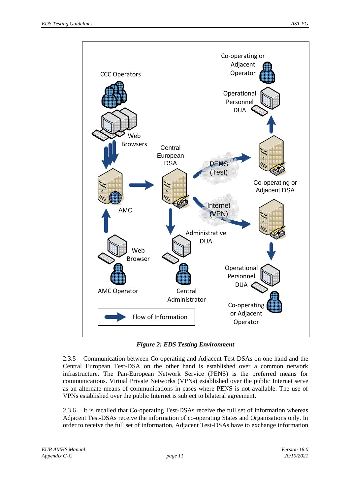

*Figure 2: EDS Testing Environment*

<span id="page-10-0"></span>2.3.5 Communication between Co-operating and Adjacent Test-DSAs on one hand and the Central European Test-DSA on the other hand is established over a common network infrastructure. The Pan-European Network Service (PENS) is the preferred means for communications. Virtual Private Networks (VPNs) established over the public Internet serve as an alternate means of communications in cases where PENS is not available. The use of VPNs established over the public Internet is subject to bilateral agreement.

2.3.6 It is recalled that Co-operating Test-DSAs receive the full set of information whereas Adjacent Test-DSAs receive the information of co-operating States and Organisations only. In order to receive the full set of information, Adjacent Test-DSAs have to exchange information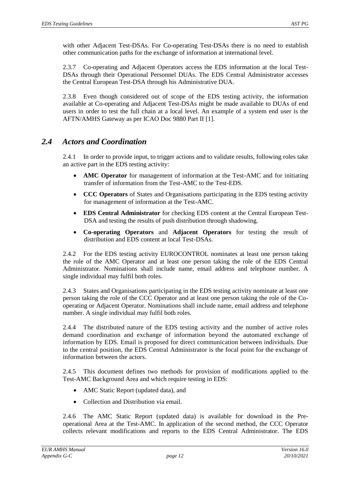with other Adjacent Test-DSAs. For Co-operating Test-DSAs there is no need to establish other communication paths for the exchange of information at international level.

2.3.7 Co-operating and Adjacent Operators access the EDS information at the local Test-DSAs through their Operational Personnel DUAs. The EDS Central Administrator accesses the Central European Test-DSA through his Administrative DUA.

2.3.8 Even though considered out of scope of the EDS testing activity, the information available at Co-operating and Adjacent Test-DSAs might be made available to DUAs of end users in order to test the full chain at a local level. An example of a system end user is the AFTN/AMHS Gateway as per ICAO Doc 9880 Part II [\[1\]](#page-3-6).

### <span id="page-11-0"></span>*2.4 Actors and Coordination*

2.4.1 In order to provide input, to trigger actions and to validate results, following roles take an active part in the EDS testing activity:

- **AMC Operator** for management of information at the Test-AMC and for initiating transfer of information from the Test-AMC to the Test-EDS.
- **CCC Operators** of States and Organisations participating in the EDS testing activity for management of information at the Test-AMC.
- **EDS Central Administrator** for checking EDS content at the Central European Test-DSA and testing the results of push distribution through shadowing.
- **Co-operating Operators** and **Adjacent Operators** for testing the result of distribution and EDS content at local Test-DSAs.

2.4.2 For the EDS testing activity EUROCONTROL nominates at least one person taking the role of the AMC Operator and at least one person taking the role of the EDS Central Administrator. Nominations shall include name, email address and telephone number. A single individual may fulfil both roles.

2.4.3 States and Organisations participating in the EDS testing activity nominate at least one person taking the role of the CCC Operator and at least one person taking the role of the Cooperating or Adjacent Operator. Nominations shall include name, email address and telephone number. A single individual may fulfil both roles.

2.4.4 The distributed nature of the EDS testing activity and the number of active roles demand coordination and exchange of information beyond the automated exchange of information by EDS. Email is proposed for direct communication between individuals. Due to the central position, the EDS Central Administrator is the focal point for the exchange of information between the actors.

2.4.5 This document defines two methods for provision of modifications applied to the Test-AMC Background Area and which require testing in EDS:

- AMC Static Report (updated data), and
- Collection and Distribution via email.

2.4.6 The AMC Static Report (updated data) is available for download in the Preoperational Area at the Test-AMC. In application of the second method, the CCC Operator collects relevant modifications and reports to the EDS Central Administrator. The EDS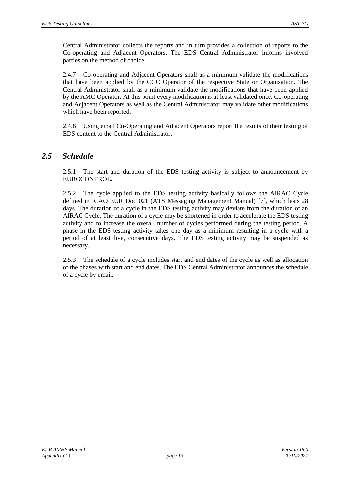Central Administrator collects the reports and in turn provides a collection of reports to the Co-operating and Adjacent Operators. The EDS Central Administrator informs involved parties on the method of choice.

2.4.7 Co-operating and Adjacent Operators shall as a minimum validate the modifications that have been applied by the CCC Operator of the respective State or Organisation. The Central Administrator shall as a minimum validate the modifications that have been applied by the AMC Operator. At this point every modification is at least validated once. Co-operating and Adjacent Operators as well as the Central Administrator may validate other modifications which have been reported.

2.4.8 Using email Co-Operating and Adjacent Operators report the results of their testing of EDS content to the Central Administrator.

### *2.5 Schedule*

2.5.1 The start and duration of the EDS testing activity is subject to announcement by EUROCONTROL.

2.5.2 The cycle applied to the EDS testing activity basically follows the AIRAC Cycle defined in ICAO EUR Doc 021 (ATS Messaging Management Manual) [\[7\]](#page-3-5), which lasts 28 days. The duration of a cycle in the EDS testing activity may deviate from the duration of an AIRAC Cycle. The duration of a cycle may be shortened in order to accelerate the EDS testing activity and to increase the overall number of cycles performed during the testing period. A phase in the EDS testing activity takes one day as a minimum resulting in a cycle with a period of at least five, consecutive days. The EDS testing activity may be suspended as necessary.

2.5.3 The schedule of a cycle includes start and end dates of the cycle as well as allocation of the phases with start and end dates. The EDS Central Administrator announces the schedule of a cycle by email.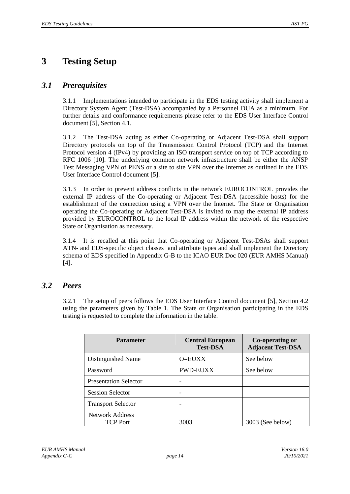## <span id="page-13-0"></span>**3 Testing Setup**

### *3.1 Prerequisites*

3.1.1 Implementations intended to participate in the EDS testing activity shall implement a Directory System Agent (Test-DSA) accompanied by a Personnel DUA as a minimum. For further details and conformance requirements please refer to the EDS User Interface Control document [\[5\]](#page-3-1), Section 4.1.

3.1.2 The Test-DSA acting as either Co-operating or Adjacent Test-DSA shall support Directory protocols on top of the Transmission Control Protocol (TCP) and the Internet Protocol version 4 (IPv4) by providing an ISO transport service on top of TCP according to RFC 1006 [\[10\]](#page-3-7). The underlying common network infrastructure shall be either the ANSP Test Messaging VPN of PENS or a site to site VPN over the Internet as outlined in the EDS User Interface Control document [\[5\]](#page-3-1).

3.1.3 In order to prevent address conflicts in the network EUROCONTROL provides the external IP address of the Co-operating or Adjacent Test-DSA (accessible hosts) for the establishment of the connection using a VPN over the Internet. The State or Organisation operating the Co-operating or Adjacent Test-DSA is invited to map the external IP address provided by EUROCONTROL to the local IP address within the network of the respective State or Organisation as necessary.

3.1.4 It is recalled at this point that Co-operating or Adjacent Test-DSAs shall support ATN- and EDS-specific object classes and attribute types and shall implement the Directory schema of EDS specified in Appendix G-B to the ICAO EUR Doc 020 (EUR AMHS Manual) [\[4\]](#page-3-3).

### *3.2 Peers*

3.2.1 The setup of peers follows the EDS User Interface Control document [\[5\]](#page-3-1), Section 4.2 using the parameters given by [Table 1.](#page-14-0) The State or Organisation participating in the EDS testing is requested to complete the information in the table.

| <b>Parameter</b>                   | <b>Central European</b><br><b>Test-DSA</b> | Co-operating or<br><b>Adjacent Test-DSA</b> |
|------------------------------------|--------------------------------------------|---------------------------------------------|
| Distinguished Name                 | O=EUXX                                     | See below                                   |
| Password                           | <b>PWD-EUXX</b>                            | See below                                   |
| <b>Presentation Selector</b>       |                                            |                                             |
| <b>Session Selector</b>            |                                            |                                             |
| <b>Transport Selector</b>          |                                            |                                             |
| Network Address<br><b>TCP Port</b> | 3003                                       | 3003 (See below)                            |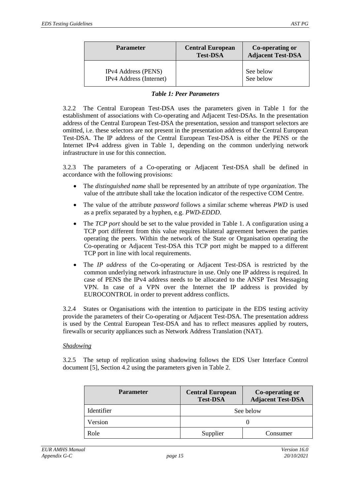| <b>Parameter</b>                                             | <b>Central European</b><br><b>Test-DSA</b> | Co-operating or<br><b>Adjacent Test-DSA</b> |
|--------------------------------------------------------------|--------------------------------------------|---------------------------------------------|
| <b>IPv4</b> Address (PENS)<br><b>IPv4</b> Address (Internet) |                                            | See below<br>See below                      |

#### *Table 1: Peer Parameters*

<span id="page-14-0"></span>3.2.2 The Central European Test-DSA uses the parameters given in [Table 1](#page-14-0) for the establishment of associations with Co-operating and Adjacent Test-DSAs. In the presentation address of the Central European Test-DSA the presentation, session and transport selectors are omitted, i.e. these selectors are not present in the presentation address of the Central European Test-DSA. The IP address of the Central European Test-DSA is either the PENS or the Internet IPv4 address given in [Table 1,](#page-14-0) depending on the common underlying network infrastructure in use for this connection.

3.2.3 The parameters of a Co-operating or Adjacent Test-DSA shall be defined in accordance with the following provisions:

- The *distinguished name* shall be represented by an attribute of type *organization*. The value of the attribute shall take the location indicator of the respective COM Centre.
- The value of the attribute *password* follows a similar scheme whereas *PWD* is used as a prefix separated by a hyphen, e.g. *PWD-EDDD*.
- The *TCP port* should be set to the value provided in [Table 1.](#page-14-0) A configuration using a TCP port different from this value requires bilateral agreement between the parties operating the peers. Within the network of the State or Organisation operating the Co-operating or Adjacent Test-DSA this TCP port might be mapped to a different TCP port in line with local requirements.
- The *IP address* of the Co-operating or Adjacent Test-DSA is restricted by the common underlying network infrastructure in use. Only one IP address is required. In case of PENS the IPv4 address needs to be allocated to the ANSP Test Messaging VPN. In case of a VPN over the Internet the IP address is provided by EUROCONTROL in order to prevent address conflicts.

3.2.4 States or Organisations with the intention to participate in the EDS testing activity provide the parameters of their Co-operating or Adjacent Test-DSA. The presentation address is used by the Central European Test-DSA and has to reflect measures applied by routers, firewalls or security appliances such as Network Address Translation (NAT).

#### *Shadowing*

3.2.5 The setup of replication using shadowing follows the EDS User Interface Control document [\[5\]](#page-3-1), Section 4.2 using the parameters given in [Table 2.](#page-15-0)

| <b>Parameter</b> | <b>Central European</b><br><b>Test-DSA</b> | <b>Co-operating or</b><br><b>Adjacent Test-DSA</b> |
|------------------|--------------------------------------------|----------------------------------------------------|
| Identifier       |                                            | See below                                          |
| Version          |                                            |                                                    |
| Role             | Supplier                                   | Consumer                                           |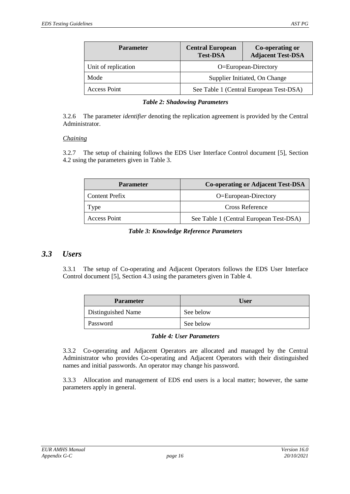| <b>Parameter</b>    | <b>Central European</b><br><b>Test-DSA</b> | Co-operating or<br><b>Adjacent Test-DSA</b> |
|---------------------|--------------------------------------------|---------------------------------------------|
| Unit of replication | O=European-Directory                       |                                             |
| Mode                | Supplier Initiated, On Change              |                                             |
| Access Point        |                                            | See Table 1 (Central European Test-DSA)     |

<span id="page-15-0"></span>3.2.6 The parameter *identifier* denoting the replication agreement is provided by the Central Administrator.

#### *Chaining*

3.2.7 The setup of chaining follows the EDS User Interface Control document [\[5\]](#page-3-1), Section 4.2 using the parameters given in [Table 3.](#page-15-1)

| <b>Parameter</b>      | <b>Co-operating or Adjacent Test-DSA</b> |
|-----------------------|------------------------------------------|
| <b>Content Prefix</b> | O=European-Directory                     |
| Type                  | Cross Reference                          |
| Access Point          | See Table 1 (Central European Test-DSA)  |

#### *Table 3: Knowledge Reference Parameters*

#### <span id="page-15-1"></span>*3.3 Users*

3.3.1 The setup of Co-operating and Adjacent Operators follows the EDS User Interface Control document [\[5\]](#page-3-1), Section 4.3 using the parameters given in [Table 4.](#page-15-2)

| <b>Parameter</b>   | <b>User</b> |
|--------------------|-------------|
| Distinguished Name | See below   |
| Password           | See below   |

#### *Table 4: User Parameters*

<span id="page-15-2"></span>3.3.2 Co-operating and Adjacent Operators are allocated and managed by the Central Administrator who provides Co-operating and Adjacent Operators with their distinguished names and initial passwords. An operator may change his password.

3.3.3 Allocation and management of EDS end users is a local matter; however, the same parameters apply in general.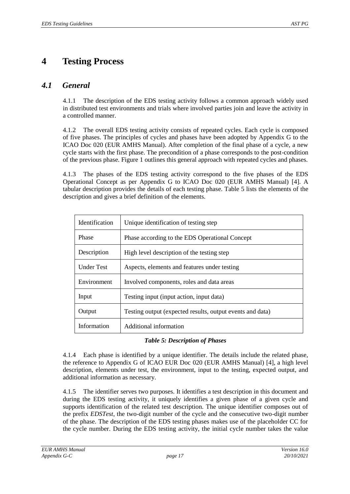## <span id="page-16-1"></span>**4 Testing Process**

## *4.1 General*

4.1.1 The description of the EDS testing activity follows a common approach widely used in distributed test environments and trials where involved parties join and leave the activity in a controlled manner.

4.1.2 The overall EDS testing activity consists of repeated cycles. Each cycle is composed of five phases. The principles of cycles and phases have been adopted by Appendix G to the ICAO Doc 020 (EUR AMHS Manual). After completion of the final phase of a cycle, a new cycle starts with the first phase. The precondition of a phase corresponds to the post-condition of the previous phase. [Figure 1](#page-8-0) outlines this general approach with repeated cycles and phases.

4.1.3 The phases of the EDS testing activity correspond to the five phases of the EDS Operational Concept as per Appendix G to ICAO Doc 020 (EUR AMHS Manual) [\[4\]](#page-3-3). A tabular description provides the details of each testing phase. [Table 5](#page-16-0) lists the elements of the description and gives a brief definition of the elements.

| Identification    | Unique identification of testing step                     |
|-------------------|-----------------------------------------------------------|
| <b>Phase</b>      | Phase according to the EDS Operational Concept            |
| Description       | High level description of the testing step                |
| <b>Under Test</b> | Aspects, elements and features under testing              |
| Environment       | Involved components, roles and data areas                 |
| Input             | Testing input (input action, input data)                  |
| Output            | Testing output (expected results, output events and data) |
| Information       | Additional information                                    |

#### *Table 5: Description of Phases*

<span id="page-16-0"></span>4.1.4 Each phase is identified by a unique identifier. The details include the related phase, the reference to Appendix G of ICAO EUR Doc 020 (EUR AMHS Manual) [\[4\]](#page-3-3), a high level description, elements under test, the environment, input to the testing, expected output, and additional information as necessary.

4.1.5 The identifier serves two purposes. It identifies a test description in this document and during the EDS testing activity, it uniquely identifies a given phase of a given cycle and supports identification of the related test description. The unique identifier composes out of the prefix *EDSTest*, the two-digit number of the cycle and the consecutive two-digit number of the phase. The description of the EDS testing phases makes use of the placeholder CC for the cycle number. During the EDS testing activity, the initial cycle number takes the value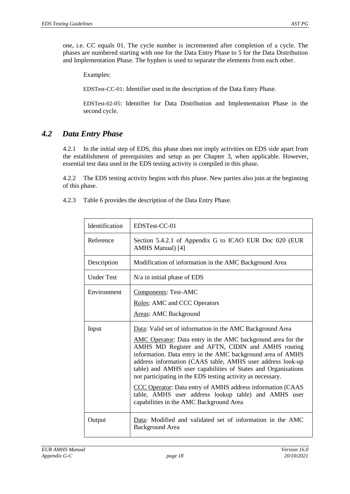Examples:

EDSTest-CC-01: Identifier used in the description of the Data Entry Phase.

EDSTest-02-05: Identifier for Data Distribution and Implementation Phase in the second cycle.

## *4.2 Data Entry Phase*

4.2.1 In the initial step of EDS, this phase does not imply activities on EDS side apart from the establishment of prerequisites and setup as per Chapter [3,](#page-13-0) when applicable. However, essential test data used in the EDS testing activity is compiled in this phase.

4.2.2 The EDS testing activity begins with this phase. New parties also join at the beginning of this phase.

4.2.3 [Table 6](#page-18-0) provides the description of the Data Entry Phase.

| Identification    | EDSTest-CC-01                                                                                                                                                                                                                                                                                                                                                                                                                                                                                                                                                                                              |
|-------------------|------------------------------------------------------------------------------------------------------------------------------------------------------------------------------------------------------------------------------------------------------------------------------------------------------------------------------------------------------------------------------------------------------------------------------------------------------------------------------------------------------------------------------------------------------------------------------------------------------------|
| Reference         | Section 5.4.2.1 of Appendix G to ICAO EUR Doc 020 (EUR<br>AMHS Manual) [4]                                                                                                                                                                                                                                                                                                                                                                                                                                                                                                                                 |
| Description       | Modification of information in the AMC Background Area                                                                                                                                                                                                                                                                                                                                                                                                                                                                                                                                                     |
| <b>Under Test</b> | $N/a$ in initial phase of EDS                                                                                                                                                                                                                                                                                                                                                                                                                                                                                                                                                                              |
| Environment       | <b>Components: Test-AMC</b><br>Roles: AMC and CCC Operators<br>Areas: AMC Background                                                                                                                                                                                                                                                                                                                                                                                                                                                                                                                       |
| Input             | Data: Valid set of information in the AMC Background Area<br>AMC Operator: Data entry in the AMC background area for the<br>AMHS MD Register and AFTN, CIDIN and AMHS routing<br>information. Data entry in the AMC background area of AMHS<br>address information (CAAS table, AMHS user address look-up<br>table) and AMHS user capabilities of States and Organisations<br>not participating in the EDS testing activity as necessary.<br>CCC Operator: Data entry of AMHS address information (CAAS<br>table, AMHS user address lookup table) and AMHS user<br>capabilities in the AMC Background Area |
| Output            | Data: Modified and validated set of information in the AMC<br><b>Background Area</b>                                                                                                                                                                                                                                                                                                                                                                                                                                                                                                                       |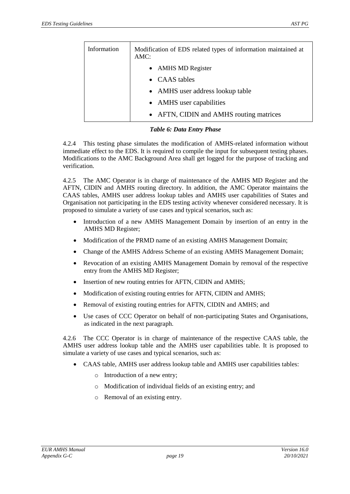| Information | Modification of EDS related types of information maintained at<br>$AMC$ : |
|-------------|---------------------------------------------------------------------------|
|             | • AMHS MD Register                                                        |
|             | • CAAS tables                                                             |
|             | • AMHS user address lookup table                                          |
|             | • AMHS user capabilities                                                  |
|             | • AFTN, CIDIN and AMHS routing matrices                                   |

#### *Table 6: Data Entry Phase*

<span id="page-18-0"></span>4.2.4 This testing phase simulates the modification of AMHS-related information without immediate effect to the EDS. It is required to compile the input for subsequent testing phases. Modifications to the AMC Background Area shall get logged for the purpose of tracking and verification.

4.2.5 The AMC Operator is in charge of maintenance of the AMHS MD Register and the AFTN, CIDIN and AMHS routing directory. In addition, the AMC Operator maintains the CAAS tables, AMHS user address lookup tables and AMHS user capabilities of States and Organisation not participating in the EDS testing activity whenever considered necessary. It is proposed to simulate a variety of use cases and typical scenarios, such as:

- Introduction of a new AMHS Management Domain by insertion of an entry in the AMHS MD Register;
- Modification of the PRMD name of an existing AMHS Management Domain;
- Change of the AMHS Address Scheme of an existing AMHS Management Domain;
- Revocation of an existing AMHS Management Domain by removal of the respective entry from the AMHS MD Register;
- Insertion of new routing entries for AFTN, CIDIN and AMHS;
- Modification of existing routing entries for AFTN, CIDIN and AMHS;
- Removal of existing routing entries for AFTN, CIDIN and AMHS; and
- Use cases of CCC Operator on behalf of non-participating States and Organisations, as indicated in the next paragraph.

4.2.6 The CCC Operator is in charge of maintenance of the respective CAAS table, the AMHS user address lookup table and the AMHS user capabilities table. It is proposed to simulate a variety of use cases and typical scenarios, such as:

- CAAS table, AMHS user address lookup table and AMHS user capabilities tables:
	- o Introduction of a new entry;
	- o Modification of individual fields of an existing entry; and
	- o Removal of an existing entry.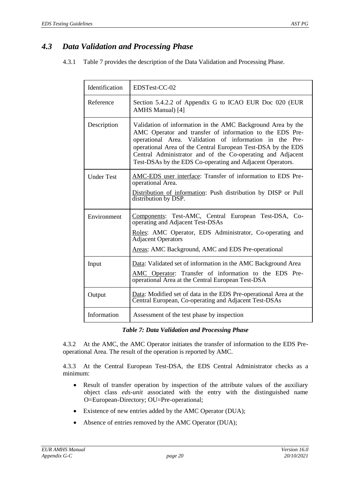## *4.3 Data Validation and Processing Phase*

4.3.1 [Table 7](#page-19-0) provides the description of the Data Validation and Processing Phase.

| Identification    | EDSTest-CC-02                                                                                                                                                                                                                                                                                                                                                                 |
|-------------------|-------------------------------------------------------------------------------------------------------------------------------------------------------------------------------------------------------------------------------------------------------------------------------------------------------------------------------------------------------------------------------|
| Reference         | Section 5.4.2.2 of Appendix G to ICAO EUR Doc 020 (EUR)<br>AMHS Manual) [4]                                                                                                                                                                                                                                                                                                   |
| Description       | Validation of information in the AMC Background Area by the<br>AMC Operator and transfer of information to the EDS Pre-<br>operational Area. Validation of information in the Pre-<br>operational Area of the Central European Test-DSA by the EDS<br>Central Administrator and of the Co-operating and Adjacent<br>Test-DSAs by the EDS Co-operating and Adjacent Operators. |
| <b>Under Test</b> | AMC-EDS user interface: Transfer of information to EDS Pre-<br>operational Area.<br>Distribution of information: Push distribution by DISP or Pull<br>distribution by DSP.                                                                                                                                                                                                    |
| Environment       | Components: Test-AMC, Central European Test-DSA, Co-<br>operating and Adjacent Test-DSAs<br>Roles: AMC Operator, EDS Administrator, Co-operating and<br><b>Adjacent Operators</b><br>Areas: AMC Background, AMC and EDS Pre-operational                                                                                                                                       |
| Input             | Data: Validated set of information in the AMC Background Area<br>AMC Operator: Transfer of information to the EDS Pre-<br>operational Area at the Central European Test-DSA                                                                                                                                                                                                   |
| Output            | Data: Modified set of data in the EDS Pre-operational Area at the<br>Central European, Co-operating and Adjacent Test-DSAs                                                                                                                                                                                                                                                    |
| Information       | Assessment of the test phase by inspection                                                                                                                                                                                                                                                                                                                                    |

#### *Table 7: Data Validation and Processing Phase*

<span id="page-19-0"></span>4.3.2 At the AMC, the AMC Operator initiates the transfer of information to the EDS Preoperational Area. The result of the operation is reported by AMC.

4.3.3 At the Central European Test-DSA, the EDS Central Administrator checks as a minimum:

- Result of transfer operation by inspection of the attribute values of the auxiliary object class *eds-unit* associated with the entry with the distinguished name O=European-Directory; OU=Pre-operational;
- Existence of new entries added by the AMC Operator (DUA);
- Absence of entries removed by the AMC Operator (DUA);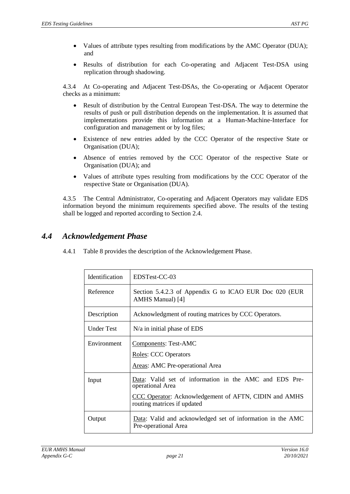- Values of attribute types resulting from modifications by the AMC Operator (DUA); and
- Results of distribution for each Co-operating and Adjacent Test-DSA using replication through shadowing.

4.3.4 At Co-operating and Adjacent Test-DSAs, the Co-operating or Adjacent Operator checks as a minimum:

- Result of distribution by the Central European Test-DSA. The way to determine the results of push or pull distribution depends on the implementation. It is assumed that implementations provide this information at a Human-Machine-Interface for configuration and management or by log files;
- Existence of new entries added by the CCC Operator of the respective State or Organisation (DUA);
- Absence of entries removed by the CCC Operator of the respective State or Organisation (DUA); and
- Values of attribute types resulting from modifications by the CCC Operator of the respective State or Organisation (DUA).

4.3.5 The Central Administrator, Co-operating and Adjacent Operators may validate EDS information beyond the minimum requirements specified above. The results of the testing shall be logged and reported according to Section [2.4.](#page-11-0)

## *4.4 Acknowledgement Phase*

4.4.1 [Table 8](#page-21-0) provides the description of the Acknowledgement Phase.

| Identification | EDSTest-CC-03                                                                                                                                                      |
|----------------|--------------------------------------------------------------------------------------------------------------------------------------------------------------------|
| Reference      | Section 5.4.2.3 of Appendix G to ICAO EUR Doc 020 (EUR<br>AMHS Manual) [4]                                                                                         |
| Description    | Acknowledgment of routing matrices by CCC Operators.                                                                                                               |
| Under Test     | $N/a$ in initial phase of EDS                                                                                                                                      |
| Environment    | Components: Test-AMC<br><b>Roles: CCC Operators</b><br>Areas: AMC Pre-operational Area                                                                             |
| Input          | Data: Valid set of information in the AMC and EDS Pre-<br>operational Area<br>CCC Operator: Acknowledgement of AFTN, CIDIN and AMHS<br>routing matrices if updated |
| Output         | Data: Valid and acknowledged set of information in the AMC<br>Pre-operational Area                                                                                 |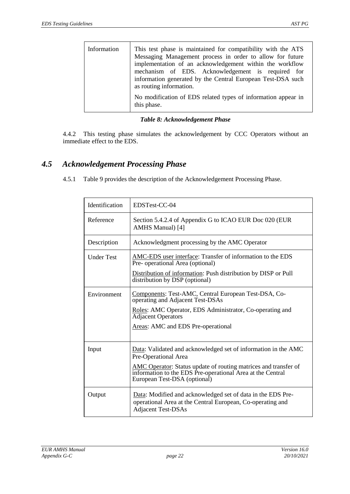| Information | This test phase is maintained for compatibility with the ATS<br>Messaging Management process in order to allow for future<br>implementation of an acknowledgement within the workflow<br>mechanism of EDS. Acknowledgement is required for<br>information generated by the Central European Test-DSA such<br>as routing information. |
|-------------|--------------------------------------------------------------------------------------------------------------------------------------------------------------------------------------------------------------------------------------------------------------------------------------------------------------------------------------|
|             | No modification of EDS related types of information appear in<br>this phase.                                                                                                                                                                                                                                                         |

#### *Table 8: Acknowledgement Phase*

<span id="page-21-0"></span>4.4.2 This testing phase simulates the acknowledgement by CCC Operators without an immediate effect to the EDS.

### *4.5 Acknowledgement Processing Phase*

4.5.1 [Table 9](#page-22-0) provides the description of the Acknowledgement Processing Phase.

| Identification    | EDSTest-CC-04                                                                                                                                                        |
|-------------------|----------------------------------------------------------------------------------------------------------------------------------------------------------------------|
| Reference         | Section 5.4.2.4 of Appendix G to ICAO EUR Doc 020 (EUR<br>AMHS Manual) [4]                                                                                           |
| Description       | Acknowledgment processing by the AMC Operator                                                                                                                        |
| <b>Under Test</b> | AMC-EDS user interface: Transfer of information to the EDS<br>Pre- operational Area (optional)                                                                       |
|                   | Distribution of information: Push distribution by DISP or Pull<br>distribution by DSP (optional)                                                                     |
| Environment       | Components: Test-AMC, Central European Test-DSA, Co-<br>operating and Adjacent Test-DSAs                                                                             |
|                   | Roles: AMC Operator, EDS Administrator, Co-operating and<br><b>Adjacent Operators</b>                                                                                |
|                   | Areas: AMC and EDS Pre-operational                                                                                                                                   |
| Input             | Data: Validated and acknowledged set of information in the AMC<br>Pre-Operational Area                                                                               |
|                   | <b>AMC Operator:</b> Status update of routing matrices and transfer of<br>information to the EDS Pre-operational Area at the Central<br>European Test-DSA (optional) |
| Output            | Data: Modified and acknowledged set of data in the EDS Pre-<br>operational Area at the Central European, Co-operating and<br><b>Adjacent Test-DSAs</b>               |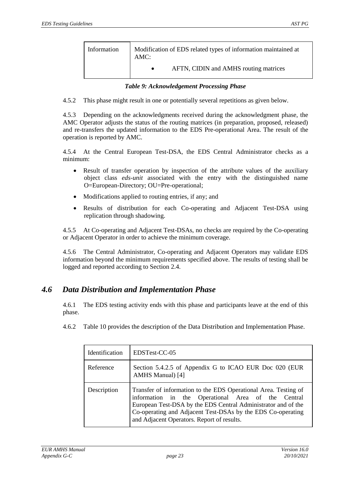| Information | Modification of EDS related types of information maintained at<br>AMC: |
|-------------|------------------------------------------------------------------------|
|             | AFTN, CIDIN and AMHS routing matrices                                  |

<span id="page-22-0"></span>4.5.2 This phase might result in one or potentially several repetitions as given below.

4.5.3 Depending on the acknowledgments received during the acknowledgment phase, the AMC Operator adjusts the status of the routing matrices (in preparation, proposed, released) and re-transfers the updated information to the EDS Pre-operational Area. The result of the operation is reported by AMC.

4.5.4 At the Central European Test-DSA, the EDS Central Administrator checks as a minimum:

- Result of transfer operation by inspection of the attribute values of the auxiliary object class *eds-unit* associated with the entry with the distinguished name O=European-Directory; OU=Pre-operational;
- Modifications applied to routing entries, if any; and
- Results of distribution for each Co-operating and Adjacent Test-DSA using replication through shadowing.

4.5.5 At Co-operating and Adjacent Test-DSAs, no checks are required by the Co-operating or Adjacent Operator in order to achieve the minimum coverage.

4.5.6 The Central Administrator, Co-operating and Adjacent Operators may validate EDS information beyond the minimum requirements specified above. The results of testing shall be logged and reported according to Section [2.4.](#page-11-0)

### *4.6 Data Distribution and Implementation Phase*

4.6.1 The EDS testing activity ends with this phase and participants leave at the end of this phase.

4.6.2 [Table 10](#page-23-0) provides the description of the Data Distribution and Implementation Phase.

| Identification | EDSTest-CC-05                                                                                                                                                                                                                                                                                       |
|----------------|-----------------------------------------------------------------------------------------------------------------------------------------------------------------------------------------------------------------------------------------------------------------------------------------------------|
| Reference      | Section 5.4.2.5 of Appendix G to ICAO EUR Doc 020 (EUR<br>AMHS Manual) [4]                                                                                                                                                                                                                          |
| Description    | Transfer of information to the EDS Operational Area. Testing of<br>information in the Operational Area of the Central<br>European Test-DSA by the EDS Central Administrator and of the<br>Co-operating and Adjacent Test-DSAs by the EDS Co-operating<br>and Adjacent Operators. Report of results. |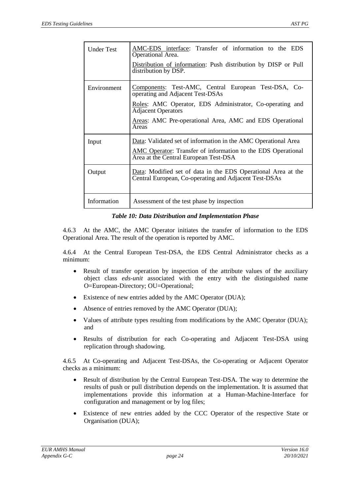| <b>Under Test</b> | AMC-EDS interface: Transfer of information to the EDS<br>Operational Area.<br>Distribution of information: Push distribution by DISP or Pull<br>distribution by DSP.           |
|-------------------|--------------------------------------------------------------------------------------------------------------------------------------------------------------------------------|
| Environment       | Components: Test-AMC, Central European Test-DSA, Co-<br>operating and Adjacent Test-DSAs<br>Roles: AMC Operator, EDS Administrator, Co-operating and                           |
|                   | <b>Adjacent Operators</b><br>Areas: AMC Pre-operational Area, AMC and EDS Operational<br>Areas                                                                                 |
| Input             | Data: Validated set of information in the AMC Operational Area<br><b>AMC</b> Operator: Transfer of information to the EDS Operational<br>Area at the Central European Test-DSA |
| Output            | Data: Modified set of data in the EDS Operational Area at the<br>Central European, Co-operating and Adjacent Test-DSAs                                                         |
| Information       | Assessment of the test phase by inspection                                                                                                                                     |

#### *Table 10: Data Distribution and Implementation Phase*

<span id="page-23-0"></span>4.6.3 At the AMC, the AMC Operator initiates the transfer of information to the EDS Operational Area. The result of the operation is reported by AMC.

4.6.4 At the Central European Test-DSA, the EDS Central Administrator checks as a minimum:

- Result of transfer operation by inspection of the attribute values of the auxiliary object class *eds-unit* associated with the entry with the distinguished name O=European-Directory; OU=Operational;
- Existence of new entries added by the AMC Operator (DUA);
- Absence of entries removed by the AMC Operator (DUA);
- Values of attribute types resulting from modifications by the AMC Operator (DUA); and
- Results of distribution for each Co-operating and Adjacent Test-DSA using replication through shadowing.

4.6.5 At Co-operating and Adjacent Test-DSAs, the Co-operating or Adjacent Operator checks as a minimum:

- Result of distribution by the Central European Test-DSA. The way to determine the results of push or pull distribution depends on the implementation. It is assumed that implementations provide this information at a Human-Machine-Interface for configuration and management or by log files;
- Existence of new entries added by the CCC Operator of the respective State or Organisation (DUA);